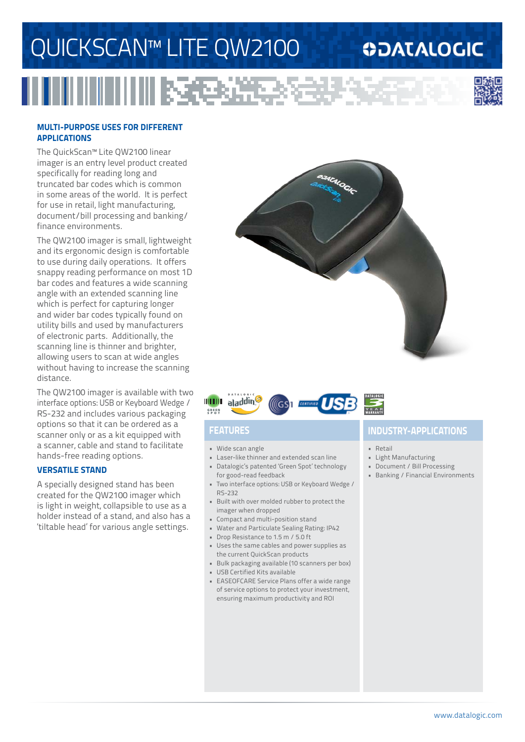# QUICKSCAN™ LITE QW2100

RG.

## **ODATALOGIC**



### **multi-purpose uses for different applications**

The QuickScan™ Lite QW2100 linear imager is an entry level product created specifically for reading long and truncated bar codes which is common in some areas of the world. It is perfect for use in retail, light manufacturing, document/bill processing and banking/ finance environments.

The QW2100 imager is small, lightweight and its ergonomic design is comfortable to use during daily operations. It offers snappy reading performance on most 1D bar codes and features a wide scanning angle with an extended scanning line which is perfect for capturing longer and wider bar codes typically found on utility bills and used by manufacturers of electronic parts. Additionally, the scanning line is thinner and brighter, allowing users to scan at wide angles without having to increase the scanning distance.

The QW2100 imager is available with two interface options: USB or Keyboard Wedge / RS-232 and includes various packaging options so that it can be ordered as a scanner only or as a kit equipped with a scanner, cable and stand to facilitate hands-free reading options.

### **versatile stand**

A specially designed stand has been created for the QW2100 imager which is light in weight, collapsible to use as a holder instead of a stand, and also has a 'tiltable head' for various angle settings.





- • Wide scan angle
- • Laser-like thinner and extended scan line
- • Datalogic's patented 'Green Spot' technology for good-read feedback
- • Two interface options: USB or Keyboard Wedge / RS-232
- • Built with over molded rubber to protect the imager when dropped
- • Compact and multi-position stand
- • Water and Particulate Sealing Rating: IP42
- • Drop Resistance to 1.5 m / 5.0 ft
- • Uses the same cables and power supplies as the current QuickScan products
- • Bulk packaging available (10 scanners per box)
- • USB Certified Kits available
- • EASEOFCARE Service Plans offer a wide range of service options to protect your investment, ensuring maximum productivity and ROI

## **Features industry-applications**

- • Retail
- • Light Manufacturing
- • Document / Bill Processing
- • Banking / Financial Environments